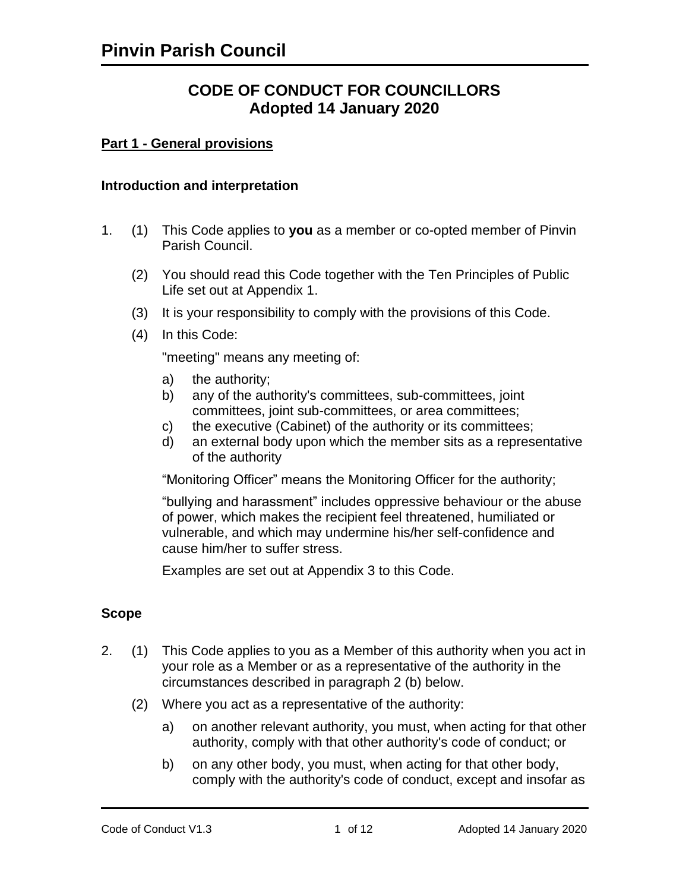# **CODE OF CONDUCT FOR COUNCILLORS Adopted 14 January 2020**

#### **Part 1 - General provisions**

#### **Introduction and interpretation**

- 1. (1) This Code applies to **you** as a member or co-opted member of Pinvin Parish Council.
	- (2) You should read this Code together with the Ten Principles of Public Life set out at Appendix 1.
	- (3) It is your responsibility to comply with the provisions of this Code.
	- (4) In this Code:

"meeting" means any meeting of:

- a) the authority;
- b) any of the authority's committees, sub-committees, joint committees, joint sub-committees, or area committees;
- c) the executive (Cabinet) of the authority or its committees;
- d) an external body upon which the member sits as a representative of the authority

"Monitoring Officer" means the Monitoring Officer for the authority;

"bullying and harassment" includes oppressive behaviour or the abuse of power, which makes the recipient feel threatened, humiliated or vulnerable, and which may undermine his/her self-confidence and cause him/her to suffer stress.

Examples are set out at Appendix 3 to this Code.

#### **Scope**

- 2. (1) This Code applies to you as a Member of this authority when you act in your role as a Member or as a representative of the authority in the circumstances described in paragraph 2 (b) below.
	- (2) Where you act as a representative of the authority:
		- a) on another relevant authority, you must, when acting for that other authority, comply with that other authority's code of conduct; or
		- b) on any other body, you must, when acting for that other body, comply with the authority's code of conduct, except and insofar as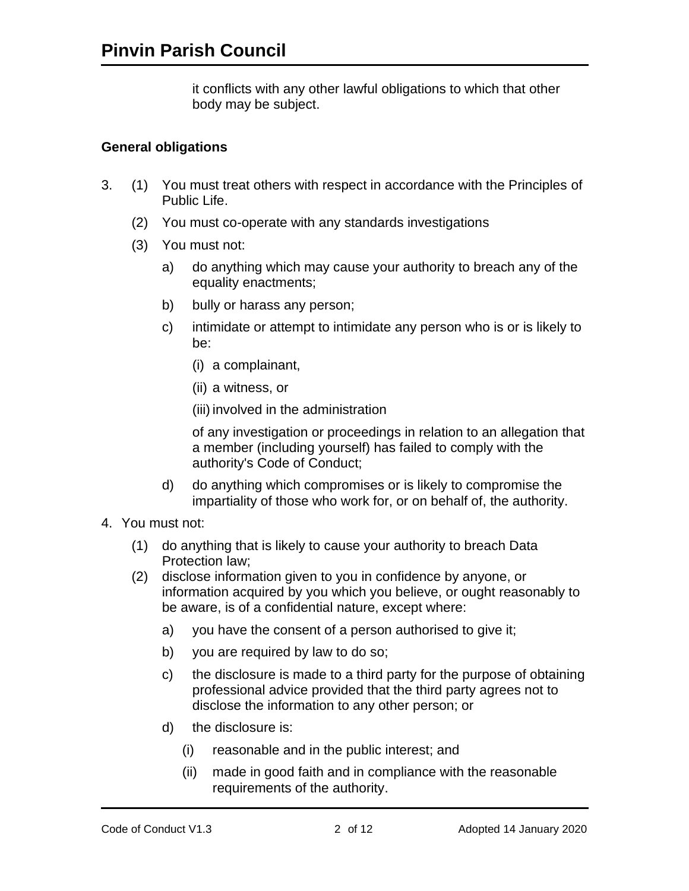it conflicts with any other lawful obligations to which that other body may be subject.

### **General obligations**

- 3. (1) You must treat others with respect in accordance with the Principles of Public Life.
	- (2) You must co-operate with any standards investigations
	- (3) You must not:
		- a) do anything which may cause your authority to breach any of the equality enactments;
		- b) bully or harass any person;
		- c) intimidate or attempt to intimidate any person who is or is likely to be:
			- (i) a complainant,
			- (ii) a witness, or

(iii) involved in the administration

of any investigation or proceedings in relation to an allegation that a member (including yourself) has failed to comply with the authority's Code of Conduct;

- d) do anything which compromises or is likely to compromise the impartiality of those who work for, or on behalf of, the authority.
- 4. You must not:
	- (1) do anything that is likely to cause your authority to breach Data Protection law;
	- (2) disclose information given to you in confidence by anyone, or information acquired by you which you believe, or ought reasonably to be aware, is of a confidential nature, except where:
		- a) you have the consent of a person authorised to give it;
		- b) you are required by law to do so;
		- c) the disclosure is made to a third party for the purpose of obtaining professional advice provided that the third party agrees not to disclose the information to any other person; or
		- d) the disclosure is:
			- (i) reasonable and in the public interest; and
			- (ii) made in good faith and in compliance with the reasonable requirements of the authority.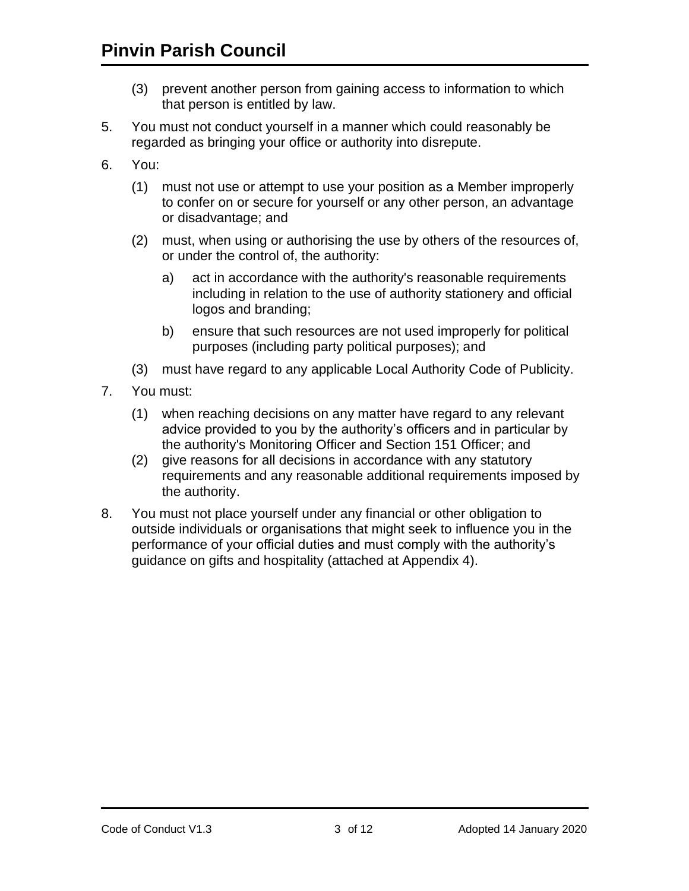- (3) prevent another person from gaining access to information to which that person is entitled by law.
- 5. You must not conduct yourself in a manner which could reasonably be regarded as bringing your office or authority into disrepute.
- 6. You:
	- (1) must not use or attempt to use your position as a Member improperly to confer on or secure for yourself or any other person, an advantage or disadvantage; and
	- (2) must, when using or authorising the use by others of the resources of, or under the control of, the authority:
		- a) act in accordance with the authority's reasonable requirements including in relation to the use of authority stationery and official logos and branding;
		- b) ensure that such resources are not used improperly for political purposes (including party political purposes); and
	- (3) must have regard to any applicable Local Authority Code of Publicity.
- 7. You must:
	- (1) when reaching decisions on any matter have regard to any relevant advice provided to you by the authority's officers and in particular by the authority's Monitoring Officer and Section 151 Officer; and
	- (2) give reasons for all decisions in accordance with any statutory requirements and any reasonable additional requirements imposed by the authority.
- 8. You must not place yourself under any financial or other obligation to outside individuals or organisations that might seek to influence you in the performance of your official duties and must comply with the authority's guidance on gifts and hospitality (attached at Appendix 4).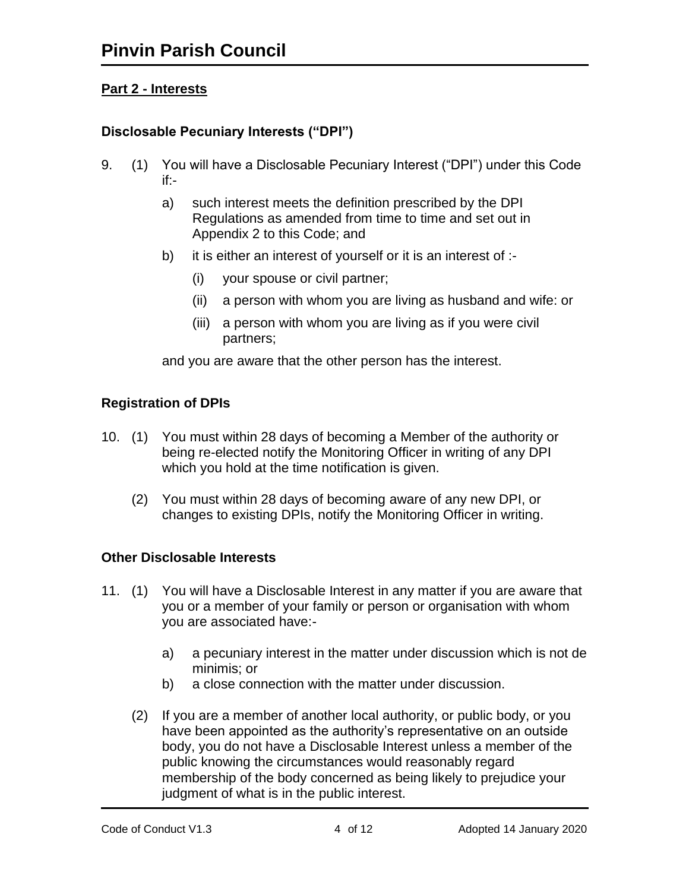# **Part 2 - Interests**

# **Disclosable Pecuniary Interests ("DPI")**

- 9. (1) You will have a Disclosable Pecuniary Interest ("DPI") under this Code if:
	- a) such interest meets the definition prescribed by the DPI Regulations as amended from time to time and set out in Appendix 2 to this Code; and
	- b) it is either an interest of yourself or it is an interest of :-
		- (i) your spouse or civil partner;
		- (ii) a person with whom you are living as husband and wife: or
		- (iii) a person with whom you are living as if you were civil partners;

and you are aware that the other person has the interest.

## **Registration of DPIs**

- 10. (1) You must within 28 days of becoming a Member of the authority or being re-elected notify the Monitoring Officer in writing of any DPI which you hold at the time notification is given.
	- (2) You must within 28 days of becoming aware of any new DPI, or changes to existing DPIs, notify the Monitoring Officer in writing.

## **Other Disclosable Interests**

- 11. (1) You will have a Disclosable Interest in any matter if you are aware that you or a member of your family or person or organisation with whom you are associated have:
	- a) a pecuniary interest in the matter under discussion which is not de minimis; or
	- b) a close connection with the matter under discussion.
	- (2) If you are a member of another local authority, or public body, or you have been appointed as the authority's representative on an outside body, you do not have a Disclosable Interest unless a member of the public knowing the circumstances would reasonably regard membership of the body concerned as being likely to prejudice your judgment of what is in the public interest.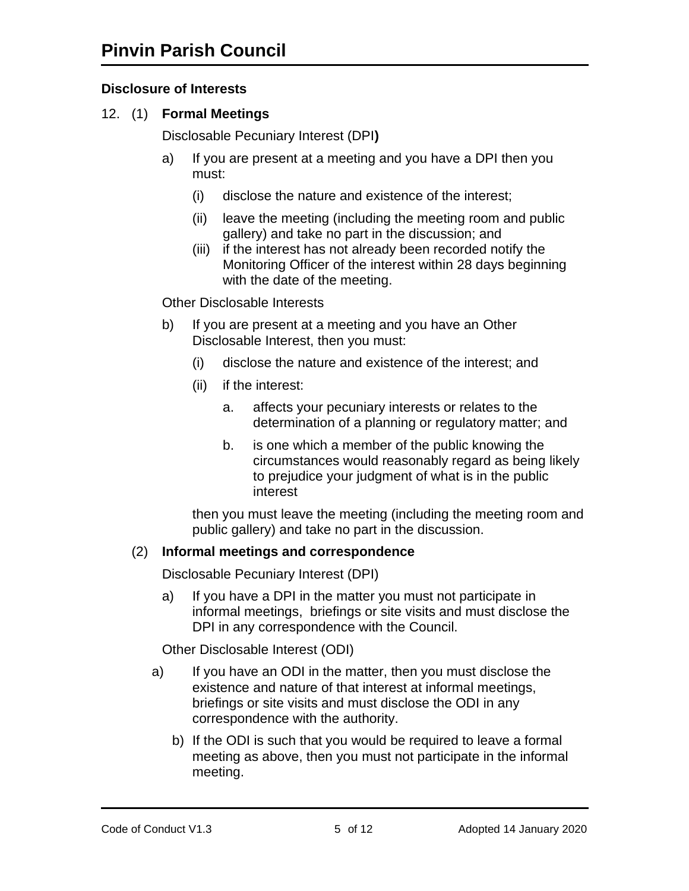# **Disclosure of Interests**

12. (1) **Formal Meetings**

Disclosable Pecuniary Interest (DPI**)**

- a) If you are present at a meeting and you have a DPI then you must:
	- (i) disclose the nature and existence of the interest;
	- (ii) leave the meeting (including the meeting room and public gallery) and take no part in the discussion; and
	- (iii) if the interest has not already been recorded notify the Monitoring Officer of the interest within 28 days beginning with the date of the meeting.

Other Disclosable Interests

- b) If you are present at a meeting and you have an Other Disclosable Interest, then you must:
	- (i) disclose the nature and existence of the interest; and
	- (ii) if the interest:
		- a. affects your pecuniary interests or relates to the determination of a planning or regulatory matter; and
		- b. is one which a member of the public knowing the circumstances would reasonably regard as being likely to prejudice your judgment of what is in the public interest

then you must leave the meeting (including the meeting room and public gallery) and take no part in the discussion.

## (2) **Informal meetings and correspondence**

Disclosable Pecuniary Interest (DPI)

a) If you have a DPI in the matter you must not participate in informal meetings, briefings or site visits and must disclose the DPI in any correspondence with the Council.

Other Disclosable Interest (ODI)

- a) If you have an ODI in the matter, then you must disclose the existence and nature of that interest at informal meetings, briefings or site visits and must disclose the ODI in any correspondence with the authority.
	- b) If the ODI is such that you would be required to leave a formal meeting as above, then you must not participate in the informal meeting.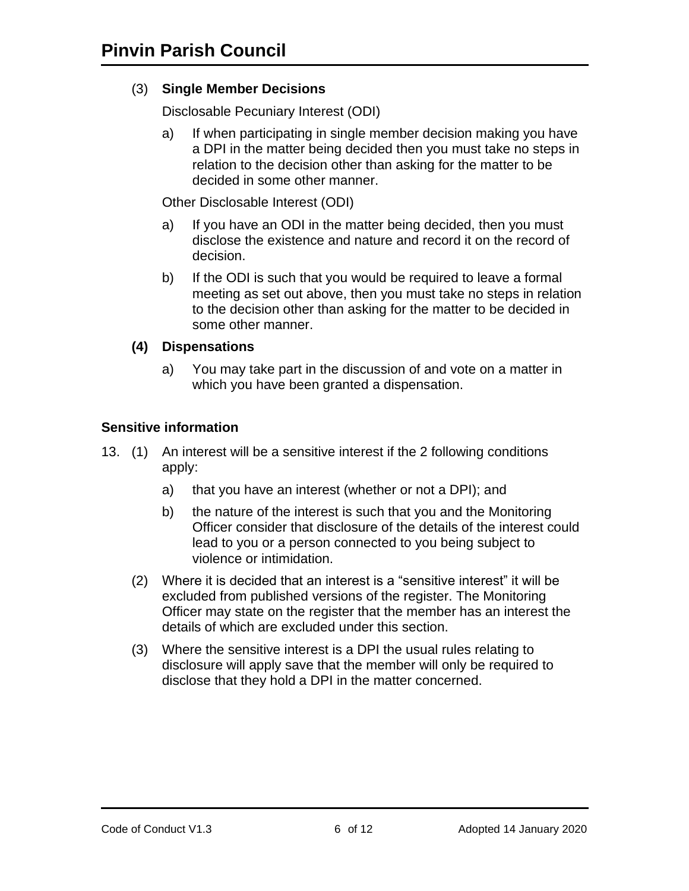## (3) **Single Member Decisions**

Disclosable Pecuniary Interest (ODI)

a) If when participating in single member decision making you have a DPI in the matter being decided then you must take no steps in relation to the decision other than asking for the matter to be decided in some other manner.

Other Disclosable Interest (ODI)

- a) If you have an ODI in the matter being decided, then you must disclose the existence and nature and record it on the record of decision.
- b) If the ODI is such that you would be required to leave a formal meeting as set out above, then you must take no steps in relation to the decision other than asking for the matter to be decided in some other manner.

#### **(4) Dispensations**

a) You may take part in the discussion of and vote on a matter in which you have been granted a dispensation.

#### **Sensitive information**

- 13. (1) An interest will be a sensitive interest if the 2 following conditions apply:
	- a) that you have an interest (whether or not a DPI); and
	- b) the nature of the interest is such that you and the Monitoring Officer consider that disclosure of the details of the interest could lead to you or a person connected to you being subject to violence or intimidation.
	- (2) Where it is decided that an interest is a "sensitive interest" it will be excluded from published versions of the register. The Monitoring Officer may state on the register that the member has an interest the details of which are excluded under this section.
	- (3) Where the sensitive interest is a DPI the usual rules relating to disclosure will apply save that the member will only be required to disclose that they hold a DPI in the matter concerned.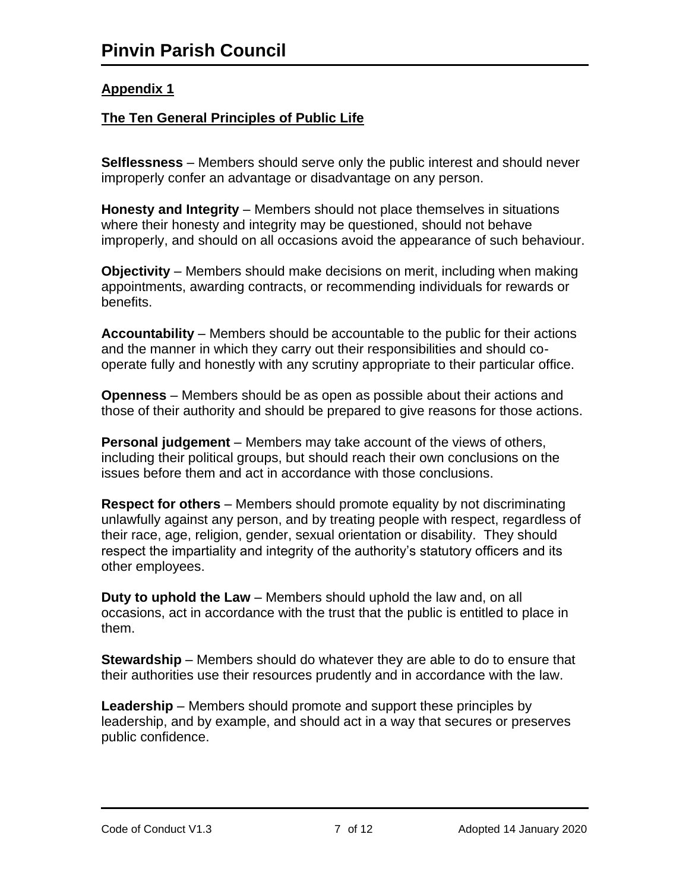# **The Ten General Principles of Public Life**

**Selflessness** – Members should serve only the public interest and should never improperly confer an advantage or disadvantage on any person.

**Honesty and Integrity** – Members should not place themselves in situations where their honesty and integrity may be questioned, should not behave improperly, and should on all occasions avoid the appearance of such behaviour.

**Objectivity** – Members should make decisions on merit, including when making appointments, awarding contracts, or recommending individuals for rewards or benefits.

**Accountability** – Members should be accountable to the public for their actions and the manner in which they carry out their responsibilities and should cooperate fully and honestly with any scrutiny appropriate to their particular office.

**Openness** – Members should be as open as possible about their actions and those of their authority and should be prepared to give reasons for those actions.

**Personal judgement** – Members may take account of the views of others, including their political groups, but should reach their own conclusions on the issues before them and act in accordance with those conclusions.

**Respect for others** – Members should promote equality by not discriminating unlawfully against any person, and by treating people with respect, regardless of their race, age, religion, gender, sexual orientation or disability. They should respect the impartiality and integrity of the authority's statutory officers and its other employees.

**Duty to uphold the Law** – Members should uphold the law and, on all occasions, act in accordance with the trust that the public is entitled to place in them.

**Stewardship** – Members should do whatever they are able to do to ensure that their authorities use their resources prudently and in accordance with the law.

**Leadership** – Members should promote and support these principles by leadership, and by example, and should act in a way that secures or preserves public confidence.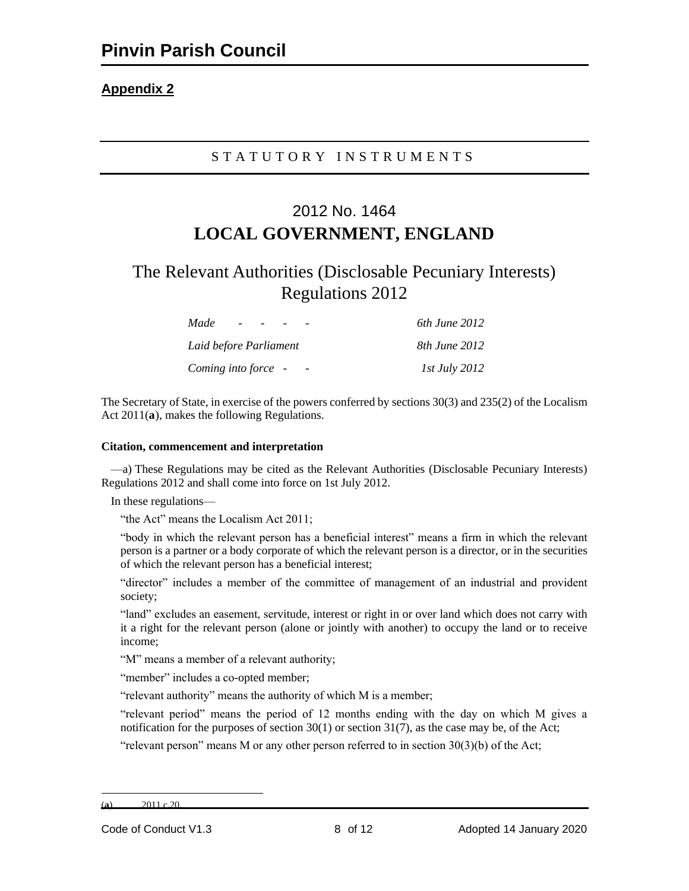#### S T A T U T O R Y I N S T R U M E N T S

# 2012 No. 1464 **LOCAL GOVERNMENT, ENGLAND**

# The Relevant Authorities (Disclosable Pecuniary Interests) Regulations 2012

| Made<br>$\sim$ $-$     | 6th June 2012        |
|------------------------|----------------------|
| Laid before Parliament | 8th June 2012        |
| Coming into force -    | <i>Ist July 2012</i> |

The Secretary of State, in exercise of the powers conferred by sections 30(3) and 235(2) of the Localism Act  $2011(a)$ , makes the following Regulations.

#### **Citation, commencement and interpretation**

—a) These Regulations may be cited as the Relevant Authorities (Disclosable Pecuniary Interests) Regulations 2012 and shall come into force on 1st July 2012.

In these regulations—

"the Act" means the Localism Act 2011;

"body in which the relevant person has a beneficial interest" means a firm in which the relevant person is a partner or a body corporate of which the relevant person is a director, or in the securities of which the relevant person has a beneficial interest;

"director" includes a member of the committee of management of an industrial and provident society;

"land" excludes an easement, servitude, interest or right in or over land which does not carry with it a right for the relevant person (alone or jointly with another) to occupy the land or to receive income;

"M" means a member of a relevant authority;

"member" includes a co-opted member;

"relevant authority" means the authority of which M is a member;

"relevant period" means the period of 12 months ending with the day on which M gives a notification for the purposes of section  $30(1)$  or section  $31(7)$ , as the case may be, of the Act;

"relevant person" means M or any other person referred to in section  $30(3)(b)$  of the Act;

<sup>(</sup>**a**) 2011 c.20.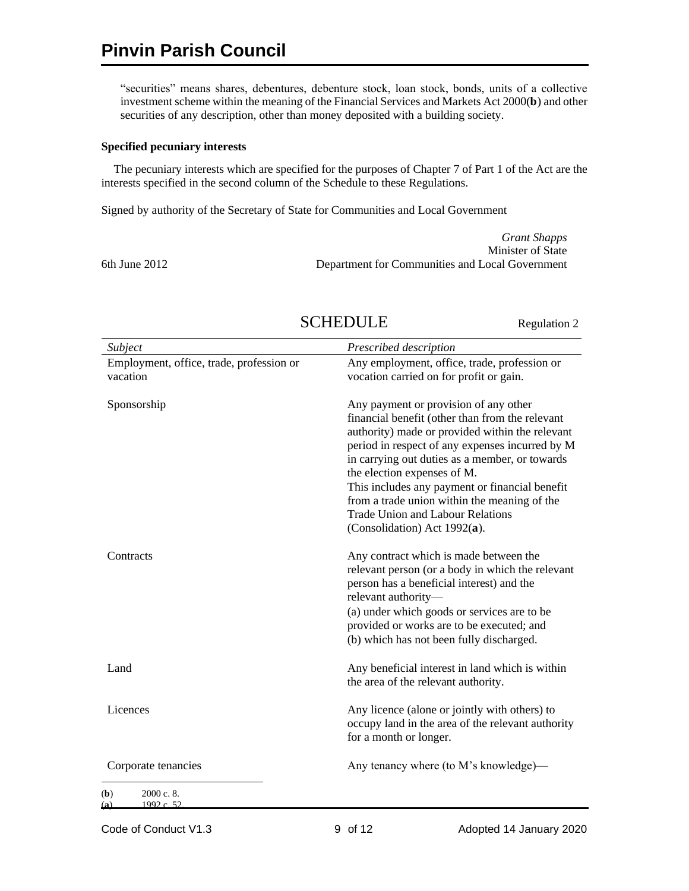"securities" means shares, debentures, debenture stock, loan stock, bonds, units of a collective investment scheme within the meaning of the Financial Services and Markets Act 2000(**b**) and other securities of any description, other than money deposited with a building society.

#### **Specified pecuniary interests**

The pecuniary interests which are specified for the purposes of Chapter 7 of Part 1 of the Act are the interests specified in the second column of the Schedule to these Regulations.

Signed by authority of the Secretary of State for Communities and Local Government

|                   | <b>Grant Shapps</b>                             |
|-------------------|-------------------------------------------------|
|                   | Minister of State                               |
| $6th$ June $2012$ | Department for Communities and Local Government |

| Subject                                              | Prescribed description                                                                                                                                                                                                                                                                                                                                                                                                                                       |
|------------------------------------------------------|--------------------------------------------------------------------------------------------------------------------------------------------------------------------------------------------------------------------------------------------------------------------------------------------------------------------------------------------------------------------------------------------------------------------------------------------------------------|
| Employment, office, trade, profession or<br>vacation | Any employment, office, trade, profession or<br>vocation carried on for profit or gain.                                                                                                                                                                                                                                                                                                                                                                      |
| Sponsorship                                          | Any payment or provision of any other<br>financial benefit (other than from the relevant<br>authority) made or provided within the relevant<br>period in respect of any expenses incurred by M<br>in carrying out duties as a member, or towards<br>the election expenses of M.<br>This includes any payment or financial benefit<br>from a trade union within the meaning of the<br><b>Trade Union and Labour Relations</b><br>(Consolidation) Act 1992(a). |
| Contracts                                            | Any contract which is made between the<br>relevant person (or a body in which the relevant<br>person has a beneficial interest) and the<br>relevant authority-<br>(a) under which goods or services are to be<br>provided or works are to be executed; and<br>(b) which has not been fully discharged.                                                                                                                                                       |
| Land                                                 | Any beneficial interest in land which is within<br>the area of the relevant authority.                                                                                                                                                                                                                                                                                                                                                                       |
| Licences                                             | Any licence (alone or jointly with others) to<br>occupy land in the area of the relevant authority<br>for a month or longer.                                                                                                                                                                                                                                                                                                                                 |
| Corporate tenancies                                  | Any tenancy where (to M's knowledge)—                                                                                                                                                                                                                                                                                                                                                                                                                        |
| 2000 с. 8.<br>(b)<br>1992 c. 52<br>(a)               |                                                                                                                                                                                                                                                                                                                                                                                                                                                              |

# SCHEDULE Regulation 2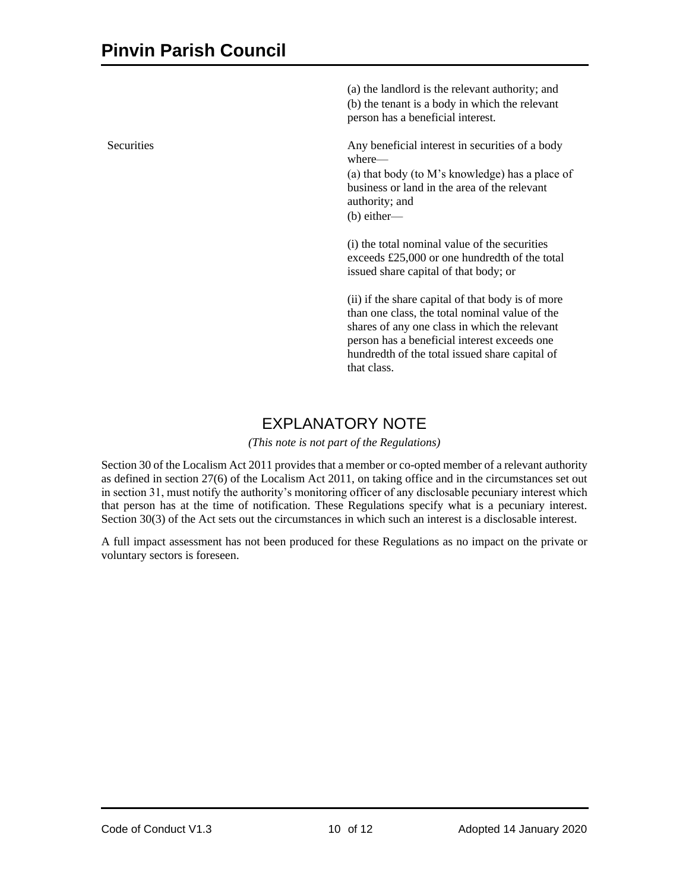(a) the landlord is the relevant authority; and (b) the tenant is a body in which the relevant person has a beneficial interest.

Securities Any beneficial interest in securities of a body where—

> (a) that body (to M's knowledge) has a place of business or land in the area of the relevant authority; and (b) either—

(i) the total nominal value of the securities exceeds £25,000 or one hundredth of the total issued share capital of that body; or

(ii) if the share capital of that body is of more than one class, the total nominal value of the shares of any one class in which the relevant person has a beneficial interest exceeds one hundredth of the total issued share capital of that class.

# EXPLANATORY NOTE

*(This note is not part of the Regulations)*

Section 30 of the Localism Act 2011 provides that a member or co-opted member of a relevant authority as defined in section 27(6) of the Localism Act 2011, on taking office and in the circumstances set out in section 31, must notify the authority's monitoring officer of any disclosable pecuniary interest which that person has at the time of notification. These Regulations specify what is a pecuniary interest. Section 30(3) of the Act sets out the circumstances in which such an interest is a disclosable interest.

A full impact assessment has not been produced for these Regulations as no impact on the private or voluntary sectors is foreseen.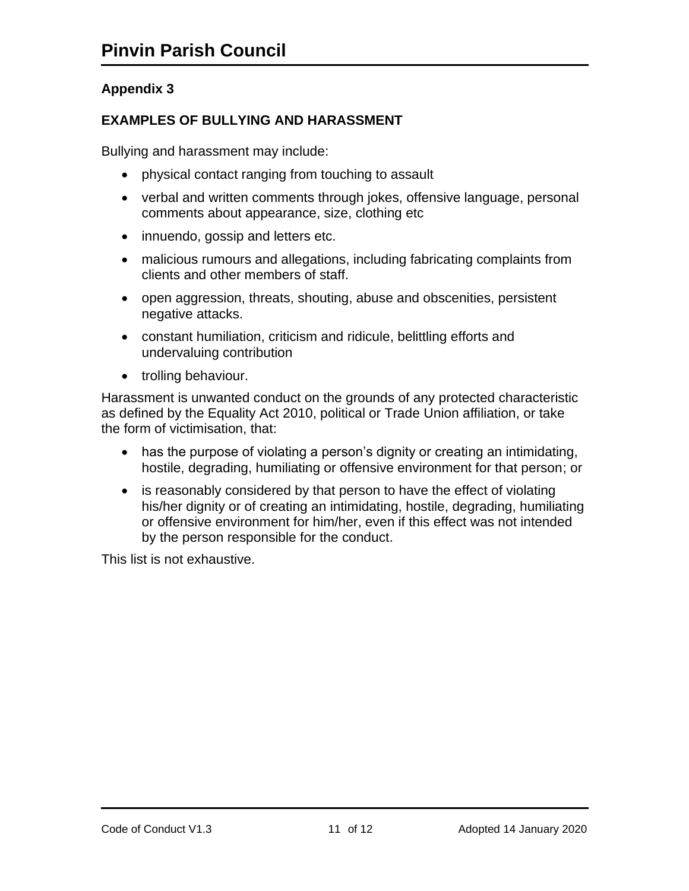# **EXAMPLES OF BULLYING AND HARASSMENT**

Bullying and harassment may include:

- physical contact ranging from touching to assault
- verbal and written comments through jokes, offensive language, personal comments about appearance, size, clothing etc
- innuendo, gossip and letters etc.
- malicious rumours and allegations, including fabricating complaints from clients and other members of staff.
- open aggression, threats, shouting, abuse and obscenities, persistent negative attacks.
- constant humiliation, criticism and ridicule, belittling efforts and undervaluing contribution
- trolling behaviour.

Harassment is unwanted conduct on the grounds of any protected characteristic as defined by the Equality Act 2010, political or Trade Union affiliation, or take the form of victimisation, that:

- has the purpose of violating a person's dignity or creating an intimidating, hostile, degrading, humiliating or offensive environment for that person; or
- is reasonably considered by that person to have the effect of violating his/her dignity or of creating an intimidating, hostile, degrading, humiliating or offensive environment for him/her, even if this effect was not intended by the person responsible for the conduct.

This list is not exhaustive.